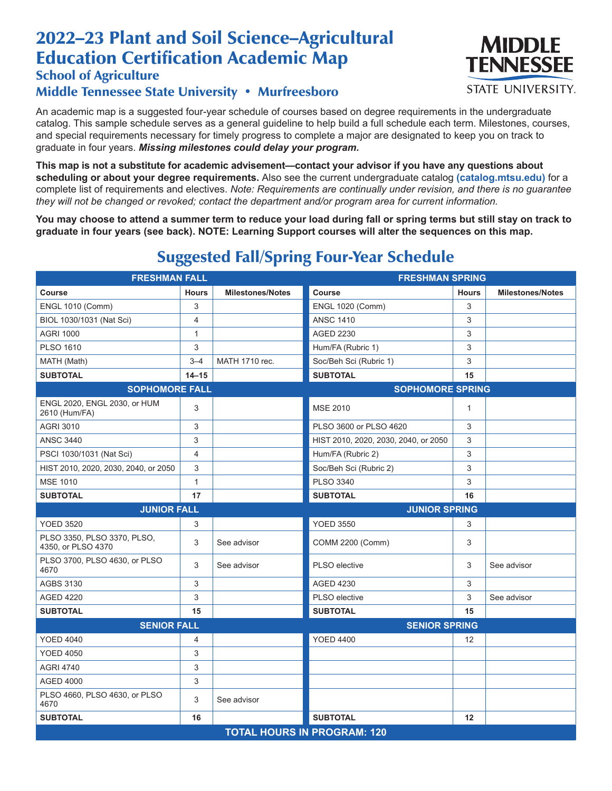# 2022–23 Plant and Soil Science–Agricultural Education Certification Academic Map

### School of Agriculture

#### Middle Tennessee State University • Murfreesboro

An academic map is a suggested four-year schedule of courses based on degree requirements in the undergraduate catalog. This sample schedule serves as a general guideline to help build a full schedule each term. Milestones, courses, and special requirements necessary for timely progress to complete a major are designated to keep you on track to graduate in four years. *Missing milestones could delay your program.*

**This map is not a substitute for academic advisement—contact your advisor if you have any questions about scheduling or about your degree requirements.** Also see the current undergraduate catalog **(catalog.mtsu.edu)** for a complete list of requirements and electives. *Note: Requirements are continually under revision, and there is no guarantee they will not be changed or revoked; contact the department and/or program area for current information.*

**You may choose to attend a summer term to reduce your load during fall or spring terms but still stay on track to graduate in four years (see back). NOTE: Learning Support courses will alter the sequences on this map.**

| <b>FRESHMAN FALL</b>                              |                |                                    | <b>FRESHMAN SPRING</b>               |              |                         |  |
|---------------------------------------------------|----------------|------------------------------------|--------------------------------------|--------------|-------------------------|--|
| Course                                            | <b>Hours</b>   | <b>Milestones/Notes</b>            | Course                               | <b>Hours</b> | <b>Milestones/Notes</b> |  |
| <b>ENGL 1010 (Comm)</b>                           | 3              |                                    | <b>ENGL 1020 (Comm)</b>              | 3            |                         |  |
| BIOL 1030/1031 (Nat Sci)                          | $\overline{4}$ |                                    | <b>ANSC 1410</b>                     | 3            |                         |  |
| <b>AGRI 1000</b>                                  | $\mathbf{1}$   |                                    | <b>AGED 2230</b>                     | 3            |                         |  |
| <b>PLSO 1610</b>                                  | 3              |                                    | Hum/FA (Rubric 1)                    | 3            |                         |  |
| MATH (Math)                                       | $3 - 4$        | MATH 1710 rec.                     | Soc/Beh Sci (Rubric 1)               | 3            |                         |  |
| <b>SUBTOTAL</b>                                   | $14 - 15$      |                                    | <b>SUBTOTAL</b>                      | 15           |                         |  |
| <b>SOPHOMORE FALL</b>                             |                |                                    | <b>SOPHOMORE SPRING</b>              |              |                         |  |
| ENGL 2020, ENGL 2030, or HUM<br>2610 (Hum/FA)     | 3              |                                    | <b>MSE 2010</b>                      | $\mathbf{1}$ |                         |  |
| <b>AGRI 3010</b>                                  | 3              |                                    | PLSO 3600 or PLSO 4620               | 3            |                         |  |
| <b>ANSC 3440</b>                                  | 3              |                                    | HIST 2010, 2020, 2030, 2040, or 2050 | 3            |                         |  |
| PSCI 1030/1031 (Nat Sci)                          | $\overline{4}$ |                                    | Hum/FA (Rubric 2)                    | 3            |                         |  |
| HIST 2010, 2020, 2030, 2040, or 2050              | 3              |                                    | Soc/Beh Sci (Rubric 2)               | 3            |                         |  |
| <b>MSE 1010</b>                                   | $\mathbf{1}$   |                                    | <b>PLSO 3340</b>                     | 3            |                         |  |
| <b>SUBTOTAL</b>                                   | 17             |                                    | <b>SUBTOTAL</b>                      | 16           |                         |  |
| <b>JUNIOR FALL</b>                                |                |                                    | <b>JUNIOR SPRING</b>                 |              |                         |  |
| <b>YOED 3520</b>                                  | 3              |                                    | <b>YOED 3550</b>                     | 3            |                         |  |
| PLSO 3350, PLSO 3370, PLSO,<br>4350, or PLSO 4370 | 3              | See advisor                        | COMM 2200 (Comm)                     | 3            |                         |  |
| PLSO 3700, PLSO 4630, or PLSO<br>4670             | 3              | See advisor                        | PLSO elective                        | 3            | See advisor             |  |
| <b>AGBS 3130</b>                                  | 3              |                                    | <b>AGED 4230</b>                     | 3            |                         |  |
| <b>AGED 4220</b>                                  | 3              |                                    | PLSO elective                        | 3            | See advisor             |  |
| <b>SUBTOTAL</b>                                   | 15             |                                    | <b>SUBTOTAL</b>                      | 15           |                         |  |
| <b>SENIOR FALL</b>                                |                |                                    | <b>SENIOR SPRING</b>                 |              |                         |  |
| <b>YOED 4040</b>                                  | 4              |                                    | <b>YOED 4400</b>                     | 12           |                         |  |
| <b>YOED 4050</b>                                  | 3              |                                    |                                      |              |                         |  |
| <b>AGRI 4740</b>                                  | 3              |                                    |                                      |              |                         |  |
| <b>AGED 4000</b>                                  | 3              |                                    |                                      |              |                         |  |
| PLSO 4660, PLSO 4630, or PLSO<br>4670             | 3              | See advisor                        |                                      |              |                         |  |
| <b>SUBTOTAL</b>                                   | 16             |                                    | <b>SUBTOTAL</b>                      | 12           |                         |  |
|                                                   |                | <b>TOTAL HOURS IN PROGRAM: 120</b> |                                      |              |                         |  |

## Suggested Fall/Spring Four-Year Schedule